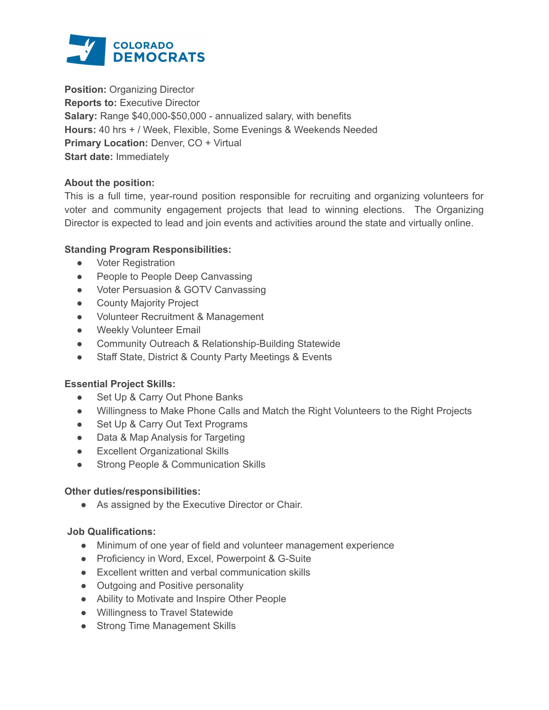

**Position: Organizing Director Reports to:** Executive Director **Salary:** Range \$40,000-\$50,000 - annualized salary, with benefits **Hours:** 40 hrs + / Week, Flexible, Some Evenings & Weekends Needed **Primary Location:** Denver, CO + Virtual **Start date:** Immediately

## **About the position:**

This is a full time, year-round position responsible for recruiting and organizing volunteers for voter and community engagement projects that lead to winning elections. The Organizing Director is expected to lead and join events and activities around the state and virtually online.

# **Standing Program Responsibilities:**

- Voter Registration
- People to People Deep Canvassing
- Voter Persuasion & GOTV Canvassing
- County Majority Project
- Volunteer Recruitment & Management
- Weekly Volunteer Email
- Community Outreach & Relationship-Building Statewide
- Staff State, District & County Party Meetings & Events

## **Essential Project Skills:**

- Set Up & Carry Out Phone Banks
- Willingness to Make Phone Calls and Match the Right Volunteers to the Right Projects
- Set Up & Carry Out Text Programs
- Data & Map Analysis for Targeting
- Excellent Organizational Skills
- Strong People & Communication Skills

## **Other duties/responsibilities:**

● As assigned by the Executive Director or Chair.

## **Job Qualifications:**

- Minimum of one year of field and volunteer management experience
- Proficiency in Word, Excel, Powerpoint & G-Suite
- Excellent written and verbal communication skills
- Outgoing and Positive personality
- Ability to Motivate and Inspire Other People
- Willingness to Travel Statewide
- Strong Time Management Skills